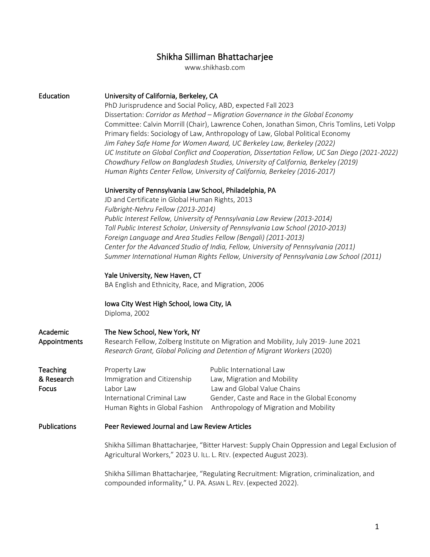# Shikha Silliman Bhattacharjee

www.shikhasb.com

| Education                              | University of California, Berkeley, CA<br>PhD Jurisprudence and Social Policy, ABD, expected Fall 2023<br>Dissertation: Corridor as Method - Migration Governance in the Global Economy<br>Committee: Calvin Morrill (Chair), Lawrence Cohen, Jonathan Simon, Chris Tomlins, Leti Volpp<br>Primary fields: Sociology of Law, Anthropology of Law, Global Political Economy<br>Jim Fahey Safe Home for Women Award, UC Berkeley Law, Berkeley (2022)<br>UC Institute on Global Conflict and Cooperation, Dissertation Fellow, UC San Diego (2021-2022)<br>Chowdhury Fellow on Bangladesh Studies, University of California, Berkeley (2019)<br>Human Rights Center Fellow, University of California, Berkeley (2016-2017)  |                                                                                                                                                                                                                 |  |
|----------------------------------------|---------------------------------------------------------------------------------------------------------------------------------------------------------------------------------------------------------------------------------------------------------------------------------------------------------------------------------------------------------------------------------------------------------------------------------------------------------------------------------------------------------------------------------------------------------------------------------------------------------------------------------------------------------------------------------------------------------------------------|-----------------------------------------------------------------------------------------------------------------------------------------------------------------------------------------------------------------|--|
|                                        | University of Pennsylvania Law School, Philadelphia, PA<br>JD and Certificate in Global Human Rights, 2013<br>Fulbright-Nehru Fellow (2013-2014)<br>Public Interest Fellow, University of Pennsylvania Law Review (2013-2014)<br>Toll Public Interest Scholar, University of Pennsylvania Law School (2010-2013)<br>Foreign Language and Area Studies Fellow (Bengali) (2011-2013)<br>Center for the Advanced Studio of India, Fellow, University of Pennsylvania (2011)<br>Summer International Human Rights Fellow, University of Pennsylvania Law School (2011)<br>Yale University, New Haven, CT<br>BA English and Ethnicity, Race, and Migration, 2006<br>Iowa City West High School, Iowa City, IA<br>Diploma, 2002 |                                                                                                                                                                                                                 |  |
|                                        |                                                                                                                                                                                                                                                                                                                                                                                                                                                                                                                                                                                                                                                                                                                           |                                                                                                                                                                                                                 |  |
|                                        |                                                                                                                                                                                                                                                                                                                                                                                                                                                                                                                                                                                                                                                                                                                           |                                                                                                                                                                                                                 |  |
| Academic<br>Appointments               | The New School, New York, NY<br>Research Fellow, Zolberg Institute on Migration and Mobility, July 2019- June 2021<br>Research Grant, Global Policing and Detention of Migrant Workers (2020)                                                                                                                                                                                                                                                                                                                                                                                                                                                                                                                             |                                                                                                                                                                                                                 |  |
| <b>Teaching</b><br>& Research<br>Focus | Property Law<br>Immigration and Citizenship<br>Labor Law<br>International Criminal Law                                                                                                                                                                                                                                                                                                                                                                                                                                                                                                                                                                                                                                    | Public International Law<br>Law, Migration and Mobility<br>Law and Global Value Chains<br>Gender, Caste and Race in the Global Economy<br>Human Rights in Global Fashion Anthropology of Migration and Mobility |  |
| Publications                           | Peer Reviewed Journal and Law Review Articles                                                                                                                                                                                                                                                                                                                                                                                                                                                                                                                                                                                                                                                                             |                                                                                                                                                                                                                 |  |
|                                        | Shikha Silliman Bhattacharjee, "Bitter Harvest: Supply Chain Oppression and Legal Exclusion of<br>Agricultural Workers," 2023 U. ILL. L. REV. (expected August 2023).                                                                                                                                                                                                                                                                                                                                                                                                                                                                                                                                                     |                                                                                                                                                                                                                 |  |
|                                        | Shikha Silliman Bhattacharjee, "Regulating Recruitment: Migration, criminalization, and<br>compounded informality," U. PA. ASIAN L. REV. (expected 2022).                                                                                                                                                                                                                                                                                                                                                                                                                                                                                                                                                                 |                                                                                                                                                                                                                 |  |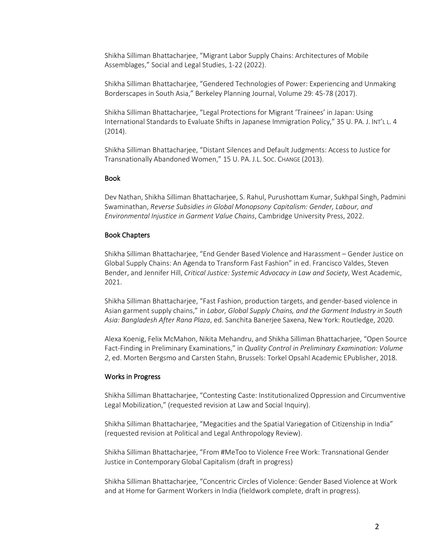Shikha Silliman Bhattacharjee, "Migrant Labor Supply Chains: Architectures of Mobile Assemblages," Social and Legal Studies, 1-22 (2022).

Shikha Silliman Bhattacharjee, "Gendered Technologies of Power: Experiencing and Unmaking Borderscapes in South Asia," Berkeley Planning Journal, Volume 29: 45-78 (2017).

Shikha Silliman Bhattacharjee, "Legal Protections for Migrant 'Trainees' in Japan: Using International Standards to Evaluate Shifts in Japanese Immigration Policy," 35 U. PA. J. INT'L L. 4 (2014).

Shikha Silliman Bhattacharjee, "Distant Silences and Default Judgments: Access to Justice for Transnationally Abandoned Women," 15 U. PA. J.L. SOC. CHANGE (2013).

#### Book

Dev Nathan, Shikha Silliman Bhattacharjee, S. Rahul, Purushottam Kumar, Sukhpal Singh, Padmini Swaminathan, *Reverse Subsidies in Global Monopsony Capitalism: Gender, Labour, and Environmental Injustice in Garment Value Chains*, Cambridge University Press, 2022.

#### Book Chapters

Shikha Silliman Bhattacharjee, "End Gender Based Violence and Harassment – Gender Justice on Global Supply Chains: An Agenda to Transform Fast Fashion" in ed. Francisco Valdes, Steven Bender, and Jennifer Hill, *Critical Justice: Systemic Advocacy in Law and Society*, West Academic, 2021.

Shikha Silliman Bhattacharjee, "Fast Fashion, production targets, and gender-based violence in Asian garment supply chains," in *Labor, Global Supply Chains, and the Garment Industry in South Asia: Bangladesh After Rana Plaza*, ed. Sanchita Banerjee Saxena, New York: Routledge, 2020.

Alexa Koenig, Felix McMahon, Nikita Mehandru, and Shikha Silliman Bhattacharjee, "Open Source Fact-Finding in Preliminary Examinations," in *Quality Control in Preliminary Examination: Volume 2*, ed. Morten Bergsmo and Carsten Stahn, Brussels: Torkel Opsahl Academic EPublisher, 2018.

#### Works in Progress

Shikha Silliman Bhattacharjee, "Contesting Caste: Institutionalized Oppression and Circumventive Legal Mobilization," (requested revision at Law and Social Inquiry).

Shikha Silliman Bhattacharjee, "Megacities and the Spatial Variegation of Citizenship in India" (requested revision at Political and Legal Anthropology Review).

Shikha Silliman Bhattacharjee, "From #MeToo to Violence Free Work: Transnational Gender Justice in Contemporary Global Capitalism (draft in progress)

Shikha Silliman Bhattacharjee, "Concentric Circles of Violence: Gender Based Violence at Work and at Home for Garment Workers in India (fieldwork complete, draft in progress).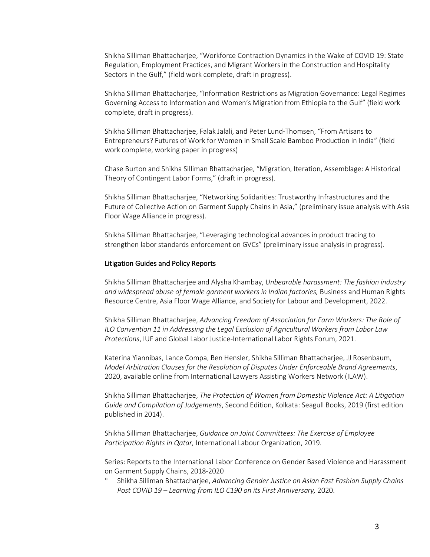Shikha Silliman Bhattacharjee, "Workforce Contraction Dynamics in the Wake of COVID 19: State Regulation, Employment Practices, and Migrant Workers in the Construction and Hospitality Sectors in the Gulf," (field work complete, draft in progress).

Shikha Silliman Bhattacharjee, "Information Restrictions as Migration Governance: Legal Regimes Governing Access to Information and Women's Migration from Ethiopia to the Gulf" (field work complete, draft in progress).

Shikha Silliman Bhattacharjee, Falak Jalali, and Peter Lund-Thomsen, "From Artisans to Entrepreneurs? Futures of Work for Women in Small Scale Bamboo Production in India" (field work complete, working paper in progress)

Chase Burton and Shikha Silliman Bhattacharjee, "Migration, Iteration, Assemblage: A Historical Theory of Contingent Labor Forms," (draft in progress).

Shikha Silliman Bhattacharjee, "Networking Solidarities: Trustworthy Infrastructures and the Future of Collective Action on Garment Supply Chains in Asia," (preliminary issue analysis with Asia Floor Wage Alliance in progress).

Shikha Silliman Bhattacharjee, "Leveraging technological advances in product tracing to strengthen labor standards enforcement on GVCs" (preliminary issue analysis in progress).

#### Litigation Guides and Policy Reports

Shikha Silliman Bhattacharjee and Alysha Khambay, *Unbearable harassment: The fashion industry and widespread abuse of female garment workers in Indian factories,* Business and Human Rights Resource Centre, Asia Floor Wage Alliance, and Society for Labour and Development, 2022.

Shikha Silliman Bhattacharjee, *Advancing Freedom of Association for Farm Workers: The Role of ILO Convention 11 in Addressing the Legal Exclusion of Agricultural Workers from Labor Law Protections*, IUF and Global Labor Justice-International Labor Rights Forum, 2021.

Katerina Yiannibas, Lance Compa, Ben Hensler, Shikha Silliman Bhattacharjee, JJ Rosenbaum, *Model Arbitration Clauses for the Resolution of Disputes Under Enforceable Brand Agreements*, 2020, available online from International Lawyers Assisting Workers Network (ILAW).

Shikha Silliman Bhattacharjee, *The Protection of Women from Domestic Violence Act: A Litigation Guide and Compilation of Judgements*, Second Edition, Kolkata: Seagull Books, 2019 (first edition published in 2014).

Shikha Silliman Bhattacharjee, *Guidance on Joint Committees: The Exercise of Employee Participation Rights in Qatar,* International Labour Organization, 2019.

Series: Reports to the International Labor Conference on Gender Based Violence and Harassment on Garment Supply Chains, 2018-2020

° Shikha Silliman Bhattacharjee, *Advancing Gender Justice on Asian Fast Fashion Supply Chains Post COVID 19 – Learning from ILO C190 on its First Anniversary,* 2020.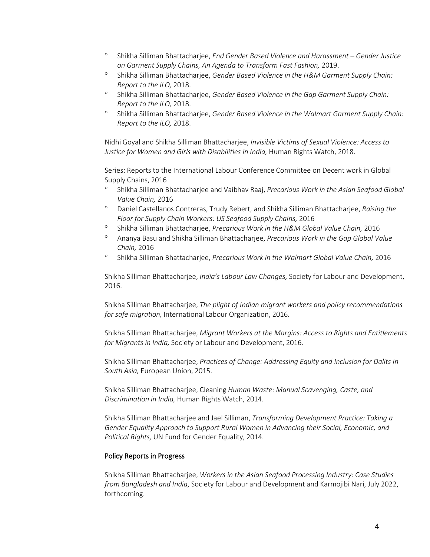- ° Shikha Silliman Bhattacharjee, *End Gender Based Violence and Harassment – Gender Justice on Garment Supply Chains, An Agenda to Transform Fast Fashion,* 2019.
- ° Shikha Silliman Bhattacharjee, *Gender Based Violence in the H&M Garment Supply Chain: Report to the ILO,* 2018.
- ° Shikha Silliman Bhattacharjee, *Gender Based Violence in the Gap Garment Supply Chain: Report to the ILO,* 2018.
- ° Shikha Silliman Bhattacharjee, *Gender Based Violence in the Walmart Garment Supply Chain: Report to the ILO,* 2018.

Nidhi Goyal and Shikha Silliman Bhattacharjee, *Invisible Victims of Sexual Violence: Access to*  Justice for Women and Girls with Disabilities in India, Human Rights Watch, 2018.

Series: Reports to the International Labour Conference Committee on Decent work in Global Supply Chains, 2016

- ° Shikha Silliman Bhattacharjee and Vaibhav Raaj, *Precarious Work in the Asian Seafood Global Value Chain,* 2016
- ° Daniel Castellanos Contreras, Trudy Rebert, and Shikha Silliman Bhattacharjee, *Raising the Floor for Supply Chain Workers: US Seafood Supply Chains,* 2016
- ° Shikha Silliman Bhattacharjee, *Precarious Work in the H&M Global Value Chain,* 2016
- ° Ananya Basu and Shikha Silliman Bhattacharjee, *Precarious Work in the Gap Global Value Chain,* 2016
- ° Shikha Silliman Bhattacharjee, *Precarious Work in the Walmart Global Value Chain,* 2016

Shikha Silliman Bhattacharjee, *India's Labour Law Changes,* Society for Labour and Development, 2016.

Shikha Silliman Bhattacharjee, *The plight of Indian migrant workers and policy recommendations for safe migration,* International Labour Organization, 2016.

Shikha Silliman Bhattacharjee, *Migrant Workers at the Margins: Access to Rights and Entitlements for Migrants in India,* Society or Labour and Development, 2016.

Shikha Silliman Bhattacharjee, *Practices of Change: Addressing Equity and Inclusion for Dalits in South Asia,* European Union, 2015.

Shikha Silliman Bhattacharjee, Cleaning *Human Waste: Manual Scavenging, Caste, and Discrimination in India,* Human Rights Watch, 2014.

Shikha Silliman Bhattacharjee and Jael Silliman, *Transforming Development Practice: Taking a Gender Equality Approach to Support Rural Women in Advancing their Social, Economic, and Political Rights,* UN Fund for Gender Equality, 2014.

#### Policy Reports in Progress

Shikha Silliman Bhattacharjee, *Workers in the Asian Seafood Processing Industry: Case Studies from Bangladesh and India*, Society for Labour and Development and Karmojibi Nari, July 2022, forthcoming.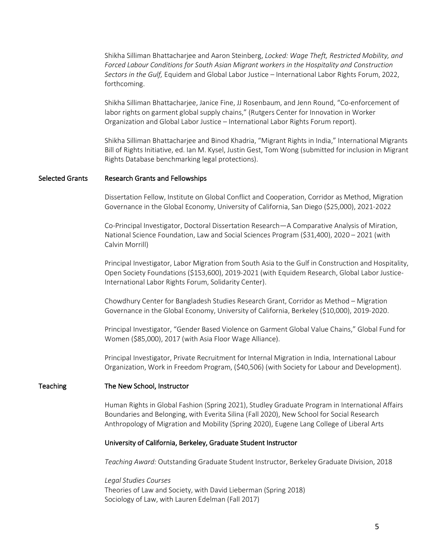Shikha Silliman Bhattacharjee and Aaron Steinberg, *Locked: Wage Theft, Restricted Mobility, and Forced Labour Conditions for South Asian Migrant workers in the Hospitality and Construction Sectors in the Gulf,* Equidem and Global Labor Justice – International Labor Rights Forum, 2022, forthcoming.

Shikha Silliman Bhattacharjee, Janice Fine, JJ Rosenbaum, and Jenn Round, "Co-enforcement of labor rights on garment global supply chains," (Rutgers Center for Innovation in Worker Organization and Global Labor Justice – International Labor Rights Forum report).

Shikha Silliman Bhattacharjee and Binod Khadria, "Migrant Rights in India," International Migrants Bill of Rights Initiative, ed. Ian M. Kysel, Justin Gest, Tom Wong (submitted for inclusion in Migrant Rights Database benchmarking legal protections).

#### Selected Grants Research Grants and Fellowships

Dissertation Fellow, Institute on Global Conflict and Cooperation, Corridor as Method, Migration Governance in the Global Economy, University of California, San Diego (\$25,000), 2021-2022

Co-Principal Investigator, Doctoral Dissertation Research—A Comparative Analysis of Miration, National Science Foundation, Law and Social Sciences Program (\$31,400), 2020 – 2021 (with Calvin Morrill)

Principal Investigator, Labor Migration from South Asia to the Gulf in Construction and Hospitality, Open Society Foundations (\$153,600), 2019-2021 (with Equidem Research, Global Labor Justice-International Labor Rights Forum, Solidarity Center).

Chowdhury Center for Bangladesh Studies Research Grant, Corridor as Method – Migration Governance in the Global Economy, University of California, Berkeley (\$10,000), 2019-2020.

Principal Investigator, "Gender Based Violence on Garment Global Value Chains," Global Fund for Women (\$85,000), 2017 (with Asia Floor Wage Alliance).

Principal Investigator, Private Recruitment for Internal Migration in India, International Labour Organization, Work in Freedom Program, (\$40,506) (with Society for Labour and Development).

#### Teaching The New School, Instructor

Human Rights in Global Fashion (Spring 2021), Studley Graduate Program in International Affairs Boundaries and Belonging, with Everita Silina (Fall 2020), New School for Social Research Anthropology of Migration and Mobility (Spring 2020), Eugene Lang College of Liberal Arts

#### University of California, Berkeley, Graduate Student Instructor

*Teaching Award:* Outstanding Graduate Student Instructor, Berkeley Graduate Division, 2018

*Legal Studies Courses* Theories of Law and Society, with David Lieberman (Spring 2018) Sociology of Law, with Lauren Edelman (Fall 2017)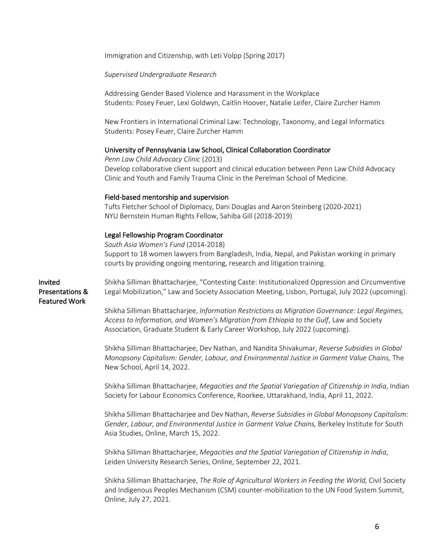Immigration and Citizenship, with Leti Volpp (Spring 2017)

#### *Supervised Undergraduate Research*

Addressing Gender Based Violence and Harassment in the Workplace Students: Posey Feuer, Lexi Goldwyn, Caitlin Hoover, Natalie Leifer, Claire Zurcher Hamm

New Frontiers in International Criminal Law: Technology, Taxonomy, and Legal Informatics Students: Posey Feuer, Claire Zurcher Hamm

#### University of Pennsylvania Law School, Clinical Collaboration Coordinator

*Penn Law Child Advocacy Clinic* (2013) Develop collaborative client support and clinical education between Penn Law Child Advocacy Clinic and Youth and Family Trauma Clinic in the Perelman School of Medicine.

#### Field-based mentorship and supervision

Tufts Fletcher School of Diplomacy, Dani Douglas and Aaron Steinberg (2020-2021) NYU Bernstein Human Rights Fellow, Sahiba Gill (2018-2019)

#### Legal Fellowship Program Coordinator

*South Asia Women's Fund* (2014-2018) Support to 18 women lawyers from Bangladesh, India, Nepal, and Pakistan working in primary courts by providing ongoing mentoring, research and litigation training.

Invited Presentations & Featured Work

Shikha Silliman Bhattacharjee, "Contesting Caste: Institutionalized Oppression and Circumventive Legal Mobilization," Law and Society Association Meeting, Lisbon, Portugal, July 2022 (upcoming).

Shikha Silliman Bhattacharjee, *Information Restrictions as Migration Governance: Legal Regimes, Access to Information, and Women's Migration from Ethiopia to the Gulf*, Law and Society Association, Graduate Student & Early Career Workshop, July 2022 (upcoming).

Shikha Silliman Bhattacharjee, Dev Nathan, and Nandita Shivakumar, *Reverse Subsidies in Global Monopsony Capitalism: Gender, Labour, and Environmental Justice in Garment Value Chains,* The New School, April 14, 2022.

Shikha Silliman Bhattacharjee, *Megacities and the Spatial Variegation of Citizenship in India*, Indian Society for Labour Economics Conference, Roorkee, Uttarakhand, India, April 11, 2022.

Shikha Silliman Bhattacharjee and Dev Nathan, *Reverse Subsidies in Global Monopsony Capitalism: Gender, Labour, and Environmental Justice in Garment Value Chains,* Berkeley Institute for South Asia Studies, Online, March 15, 2022.

Shikha Silliman Bhattacharjee, *Megacities and the Spatial Variegation of Citizenship in India*, Leiden University Research Series, Online, September 22, 2021.

Shikha Silliman Bhattacharjee, *The Role of Agricultural Workers in Feeding the World,* Civil Society and Indigenous Peoples Mechanism (CSM) counter-mobilization to the UN Food System Summit, Online, July 27, 2021.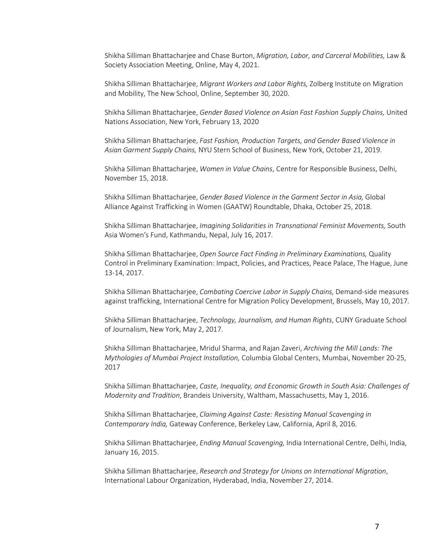Shikha Silliman Bhattacharjee and Chase Burton, *Migration, Labor, and Carceral Mobilities,* Law & Society Association Meeting, Online, May 4, 2021.

Shikha Silliman Bhattacharjee, *Migrant Workers and Labor Rights,* Zolberg Institute on Migration and Mobility, The New School, Online, September 30, 2020.

Shikha Silliman Bhattacharjee, *Gender Based Violence on Asian Fast Fashion Supply Chains,* United Nations Association, New York, February 13, 2020

Shikha Silliman Bhattacharjee, *Fast Fashion, Production Targets, and Gender Based Violence in Asian Garment Supply Chains,* NYU Stern School of Business, New York, October 21, 2019.

Shikha Silliman Bhattacharjee, *Women in Value Chains*, Centre for Responsible Business, Delhi, November 15, 2018.

Shikha Silliman Bhattacharjee, *Gender Based Violence in the Garment Sector in Asia,* Global Alliance Against Trafficking in Women (GAATW) Roundtable, Dhaka, October 25, 2018.

Shikha Silliman Bhattacharjee, *Imagining Solidarities in Transnational Feminist Movements,* South Asia Women's Fund, Kathmandu, Nepal, July 16, 2017.

Shikha Silliman Bhattacharjee, *Open Source Fact Finding in Preliminary Examinations,* Quality Control in Preliminary Examination: Impact, Policies, and Practices, Peace Palace, The Hague, June 13-14, 2017.

Shikha Silliman Bhattacharjee, *Combating Coercive Labor in Supply Chains,* Demand-side measures against trafficking, International Centre for Migration Policy Development, Brussels, May 10, 2017.

Shikha Silliman Bhattacharjee, *Technology, Journalism, and Human Rights*, CUNY Graduate School of Journalism, New York, May 2, 2017.

Shikha Silliman Bhattacharjee, Mridul Sharma, and Rajan Zaveri, *Archiving the Mill Lands: The Mythologies of Mumbai Project Installation,* Columbia Global Centers, Mumbai, November 20-25, 2017

Shikha Silliman Bhattacharjee, *Caste, Inequality, and Economic Growth in South Asia: Challenges of Modernity and Tradition*, Brandeis University, Waltham, Massachusetts, May 1, 2016.

Shikha Silliman Bhattacharjee, *Claiming Against Caste: Resisting Manual Scavenging in Contemporary India,* Gateway Conference, Berkeley Law, California, April 8, 2016.

Shikha Silliman Bhattacharjee, *Ending Manual Scavenging,* India International Centre, Delhi, India, January 16, 2015.

Shikha Silliman Bhattacharjee, *Research and Strategy for Unions on International Migration*, International Labour Organization, Hyderabad, India, November 27, 2014.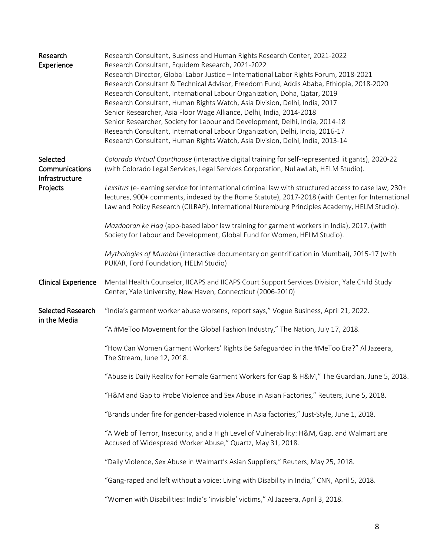| Research<br>Experience                                   | Research Consultant, Business and Human Rights Research Center, 2021-2022<br>Research Consultant, Equidem Research, 2021-2022<br>Research Director, Global Labor Justice - International Labor Rights Forum, 2018-2021<br>Research Consultant & Technical Advisor, Freedom Fund, Addis Ababa, Ethiopia, 2018-2020<br>Research Consultant, International Labour Organization, Doha, Qatar, 2019<br>Research Consultant, Human Rights Watch, Asia Division, Delhi, India, 2017<br>Senior Researcher, Asia Floor Wage Alliance, Delhi, India, 2014-2018<br>Senior Researcher, Society for Labour and Development, Delhi, India, 2014-18 |  |
|----------------------------------------------------------|--------------------------------------------------------------------------------------------------------------------------------------------------------------------------------------------------------------------------------------------------------------------------------------------------------------------------------------------------------------------------------------------------------------------------------------------------------------------------------------------------------------------------------------------------------------------------------------------------------------------------------------|--|
|                                                          | Research Consultant, International Labour Organization, Delhi, India, 2016-17<br>Research Consultant, Human Rights Watch, Asia Division, Delhi, India, 2013-14                                                                                                                                                                                                                                                                                                                                                                                                                                                                       |  |
| Selected<br>Communications<br>Infrastructure<br>Projects | Colorado Virtual Courthouse (interactive digital training for self-represented litigants), 2020-22<br>(with Colorado Legal Services, Legal Services Corporation, NuLawLab, HELM Studio).                                                                                                                                                                                                                                                                                                                                                                                                                                             |  |
|                                                          | Lexsitus (e-learning service for international criminal law with structured access to case law, 230+<br>lectures, 900+ comments, indexed by the Rome Statute), 2017-2018 (with Center for International<br>Law and Policy Research (CILRAP), International Nuremburg Principles Academy, HELM Studio).                                                                                                                                                                                                                                                                                                                               |  |
|                                                          | Mazdooran ke Haq (app-based labor law training for garment workers in India), 2017, (with<br>Society for Labour and Development, Global Fund for Women, HELM Studio).                                                                                                                                                                                                                                                                                                                                                                                                                                                                |  |
|                                                          | Mythologies of Mumbai (interactive documentary on gentrification in Mumbai), 2015-17 (with<br>PUKAR, Ford Foundation, HELM Studio)                                                                                                                                                                                                                                                                                                                                                                                                                                                                                                   |  |
| <b>Clinical Experience</b>                               | Mental Health Counselor, IICAPS and IICAPS Court Support Services Division, Yale Child Study<br>Center, Yale University, New Haven, Connecticut (2006-2010)                                                                                                                                                                                                                                                                                                                                                                                                                                                                          |  |
| Selected Research<br>in the Media                        | "India's garment worker abuse worsens, report says," Vogue Business, April 21, 2022.                                                                                                                                                                                                                                                                                                                                                                                                                                                                                                                                                 |  |
|                                                          | "A #MeToo Movement for the Global Fashion Industry," The Nation, July 17, 2018.                                                                                                                                                                                                                                                                                                                                                                                                                                                                                                                                                      |  |
|                                                          | "How Can Women Garment Workers' Rights Be Safeguarded in the #MeToo Era?" Al Jazeera,<br>The Stream, June 12, 2018.                                                                                                                                                                                                                                                                                                                                                                                                                                                                                                                  |  |
|                                                          | "Abuse is Daily Reality for Female Garment Workers for Gap & H&M," The Guardian, June 5, 2018.                                                                                                                                                                                                                                                                                                                                                                                                                                                                                                                                       |  |
|                                                          | "H&M and Gap to Probe Violence and Sex Abuse in Asian Factories," Reuters, June 5, 2018.                                                                                                                                                                                                                                                                                                                                                                                                                                                                                                                                             |  |
|                                                          | "Brands under fire for gender-based violence in Asia factories," Just-Style, June 1, 2018.                                                                                                                                                                                                                                                                                                                                                                                                                                                                                                                                           |  |
|                                                          | "A Web of Terror, Insecurity, and a High Level of Vulnerability: H&M, Gap, and Walmart are<br>Accused of Widespread Worker Abuse," Quartz, May 31, 2018.                                                                                                                                                                                                                                                                                                                                                                                                                                                                             |  |
|                                                          | "Daily Violence, Sex Abuse in Walmart's Asian Suppliers," Reuters, May 25, 2018.                                                                                                                                                                                                                                                                                                                                                                                                                                                                                                                                                     |  |
|                                                          | "Gang-raped and left without a voice: Living with Disability in India," CNN, April 5, 2018.                                                                                                                                                                                                                                                                                                                                                                                                                                                                                                                                          |  |
|                                                          | "Women with Disabilities: India's 'invisible' victims," Al Jazeera, April 3, 2018.                                                                                                                                                                                                                                                                                                                                                                                                                                                                                                                                                   |  |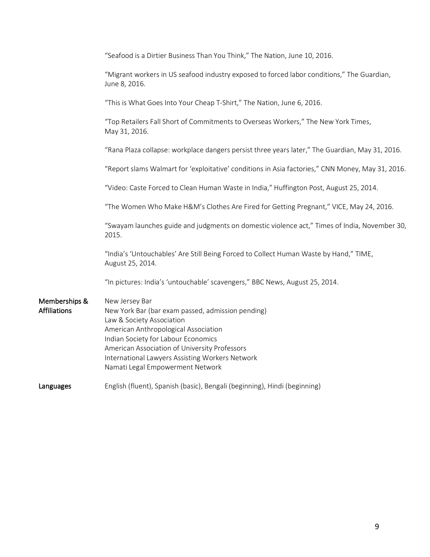| "Seafood is a Dirtier Business Than You Think," The Nation, June 10, 2016.                                                                                                                                                                                                                                              |  |  |
|-------------------------------------------------------------------------------------------------------------------------------------------------------------------------------------------------------------------------------------------------------------------------------------------------------------------------|--|--|
| "Migrant workers in US seafood industry exposed to forced labor conditions," The Guardian,<br>June 8, 2016.                                                                                                                                                                                                             |  |  |
| "This is What Goes Into Your Cheap T-Shirt," The Nation, June 6, 2016.                                                                                                                                                                                                                                                  |  |  |
| "Top Retailers Fall Short of Commitments to Overseas Workers," The New York Times,<br>May 31, 2016.                                                                                                                                                                                                                     |  |  |
| "Rana Plaza collapse: workplace dangers persist three years later," The Guardian, May 31, 2016.                                                                                                                                                                                                                         |  |  |
| "Report slams Walmart for 'exploitative' conditions in Asia factories," CNN Money, May 31, 2016.                                                                                                                                                                                                                        |  |  |
| "Video: Caste Forced to Clean Human Waste in India," Huffington Post, August 25, 2014.                                                                                                                                                                                                                                  |  |  |
| "The Women Who Make H&M's Clothes Are Fired for Getting Pregnant," VICE, May 24, 2016.                                                                                                                                                                                                                                  |  |  |
| "Swayam launches guide and judgments on domestic violence act," Times of India, November 30,<br>2015.                                                                                                                                                                                                                   |  |  |
| "India's 'Untouchables' Are Still Being Forced to Collect Human Waste by Hand," TIME,<br>August 25, 2014.                                                                                                                                                                                                               |  |  |
| "In pictures: India's 'untouchable' scavengers," BBC News, August 25, 2014.                                                                                                                                                                                                                                             |  |  |
| New Jersey Bar<br>New York Bar (bar exam passed, admission pending)<br>Law & Society Association<br>American Anthropological Association<br>Indian Society for Labour Economics<br>American Association of University Professors<br>International Lawyers Assisting Workers Network<br>Namati Legal Empowerment Network |  |  |
| English (fluent), Spanish (basic), Bengali (beginning), Hindi (beginning)                                                                                                                                                                                                                                               |  |  |
|                                                                                                                                                                                                                                                                                                                         |  |  |